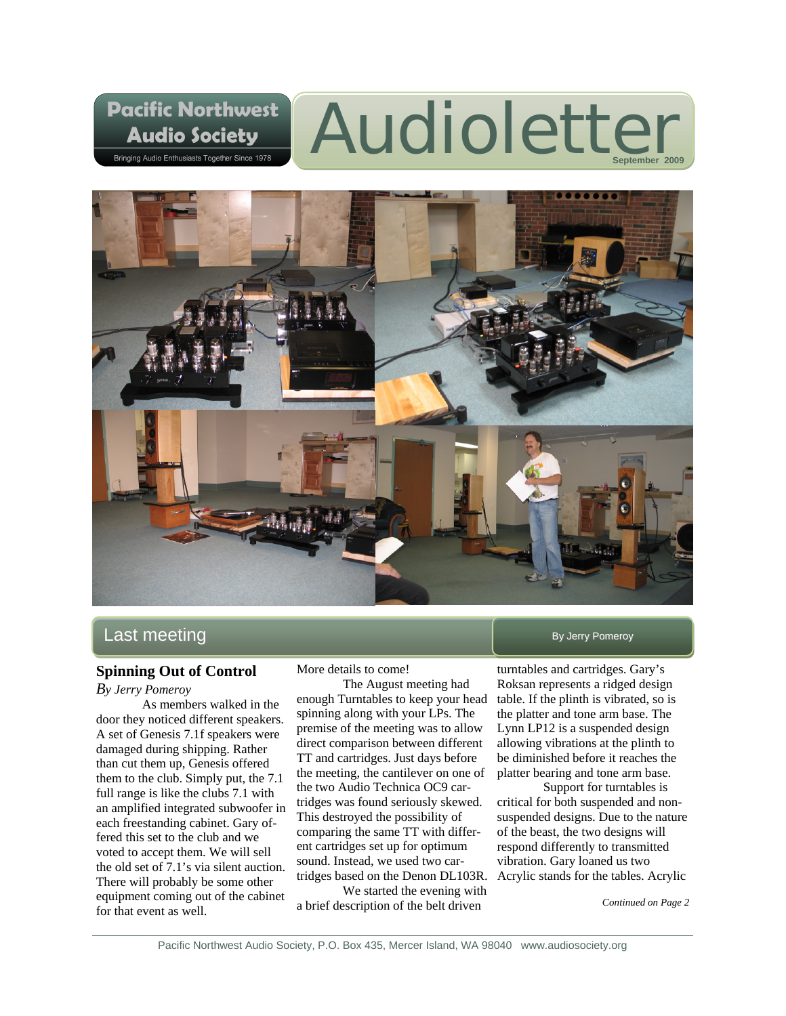# Audioletter



# $\mathsf{Last}$  meeting  $\blacksquare$

# **Spinning Out of Control**

**Pacific Northwest** 

**Audio Society** Bringing Audio Enthusiasts Together Since 1978

#### *By Jerry Pomeroy*

As members walked in the door they noticed different speakers. A set of Genesis 7.1f speakers were damaged during shipping. Rather than cut them up, Genesis offered them to the club. Simply put, the 7.1 full range is like the clubs 7.1 with an amplified integrated subwoofer in each freestanding cabinet. Gary offered this set to the club and we voted to accept them. We will sell the old set of 7.1's via silent auction. There will probably be some other equipment coming out of the cabinet for that event as well.

More details to come!

 The August meeting had enough Turntables to keep your head spinning along with your LPs. The premise of the meeting was to allow direct comparison between different TT and cartridges. Just days before the meeting, the cantilever on one of the two Audio Technica OC9 cartridges was found seriously skewed. This destroyed the possibility of comparing the same TT with different cartridges set up for optimum sound. Instead, we used two car-

 We started the evening with a brief description of the belt driven

turntables and cartridges. Gary's Roksan represents a ridged design table. If the plinth is vibrated, so is the platter and tone arm base. The Lynn LP12 is a suspended design allowing vibrations at the plinth to be diminished before it reaches the platter bearing and tone arm base.

tridges based on the Denon DL103R. Acrylic stands for the tables. Acrylic Support for turntables is critical for both suspended and nonsuspended designs. Due to the nature of the beast, the two designs will respond differently to transmitted vibration. Gary loaned us two

*Continued on Page 2*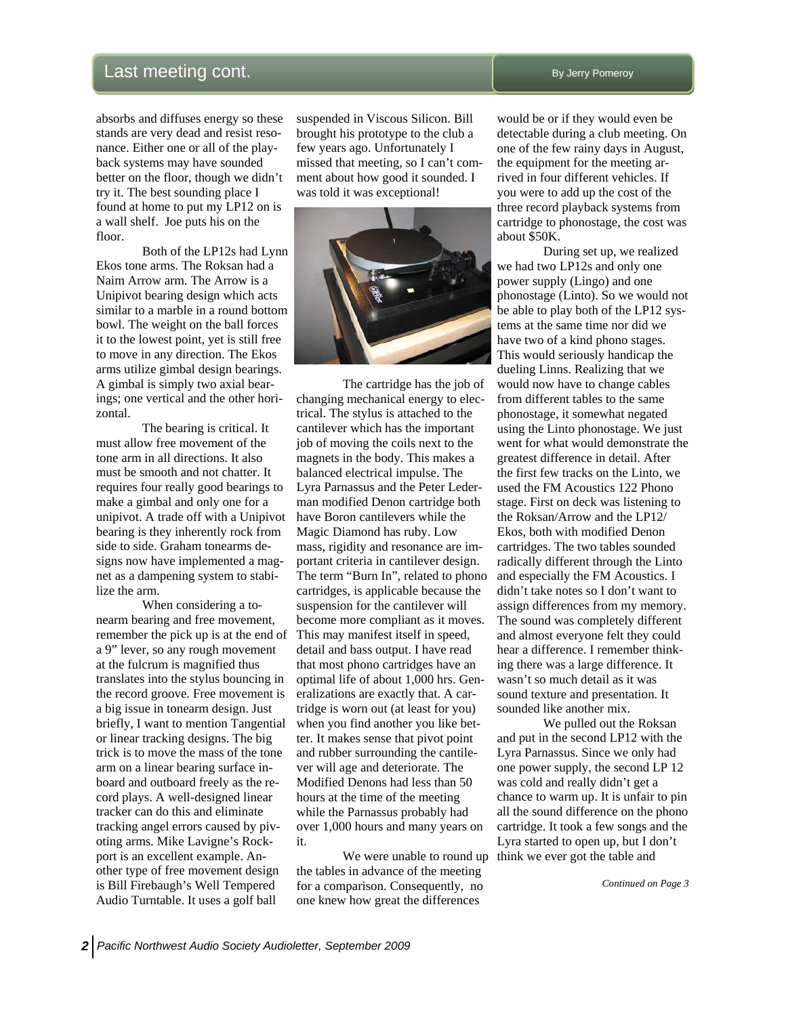# Last meeting cont. **Last meeting cont.** By Jerry Pomeroy

absorbs and diffuses energy so these stands are very dead and resist resonance. Either one or all of the playback systems may have sounded better on the floor, though we didn't try it. The best sounding place I found at home to put my LP12 on is a wall shelf. Joe puts his on the floor.

 Both of the LP12s had Lynn Ekos tone arms. The Roksan had a Naim Arrow arm. The Arrow is a Unipivot bearing design which acts similar to a marble in a round bottom bowl. The weight on the ball forces it to the lowest point, yet is still free to move in any direction. The Ekos arms utilize gimbal design bearings. A gimbal is simply two axial bearings; one vertical and the other horizontal.

 The bearing is critical. It must allow free movement of the tone arm in all directions. It also must be smooth and not chatter. It requires four really good bearings to make a gimbal and only one for a unipivot. A trade off with a Unipivot bearing is they inherently rock from side to side. Graham tonearms designs now have implemented a magnet as a dampening system to stabilize the arm.

 When considering a tonearm bearing and free movement, remember the pick up is at the end of a 9" lever, so any rough movement at the fulcrum is magnified thus translates into the stylus bouncing in the record groove. Free movement is a big issue in tonearm design. Just briefly, I want to mention Tangential or linear tracking designs. The big trick is to move the mass of the tone arm on a linear bearing surface inboard and outboard freely as the record plays. A well-designed linear tracker can do this and eliminate tracking angel errors caused by pivoting arms. Mike Lavigne's Rockport is an excellent example. Another type of free movement design is Bill Firebaugh's Well Tempered Audio Turntable. It uses a golf ball

suspended in Viscous Silicon. Bill brought his prototype to the club a few years ago. Unfortunately I missed that meeting, so I can't comment about how good it sounded. I was told it was exceptional!



 The cartridge has the job of changing mechanical energy to electrical. The stylus is attached to the cantilever which has the important job of moving the coils next to the magnets in the body. This makes a balanced electrical impulse. The Lyra Parnassus and the Peter Lederman modified Denon cartridge both have Boron cantilevers while the Magic Diamond has ruby. Low mass, rigidity and resonance are important criteria in cantilever design. The term "Burn In", related to phono cartridges, is applicable because the suspension for the cantilever will become more compliant as it moves. This may manifest itself in speed, detail and bass output. I have read that most phono cartridges have an optimal life of about 1,000 hrs. Generalizations are exactly that. A cartridge is worn out (at least for you) when you find another you like better. It makes sense that pivot point and rubber surrounding the cantilever will age and deteriorate. The Modified Denons had less than 50 hours at the time of the meeting while the Parnassus probably had over 1,000 hours and many years on it.

We were unable to round up think we ever got the table and the tables in advance of the meeting for a comparison. Consequently, no one knew how great the differences

would be or if they would even be detectable during a club meeting. On one of the few rainy days in August, the equipment for the meeting arrived in four different vehicles. If you were to add up the cost of the three record playback systems from cartridge to phonostage, the cost was about \$50K.

 During set up, we realized we had two LP12s and only one power supply (Lingo) and one phonostage (Linto). So we would not be able to play both of the LP12 systems at the same time nor did we have two of a kind phono stages. This would seriously handicap the dueling Linns. Realizing that we would now have to change cables from different tables to the same phonostage, it somewhat negated using the Linto phonostage. We just went for what would demonstrate the greatest difference in detail. After the first few tracks on the Linto, we used the FM Acoustics 122 Phono stage. First on deck was listening to the Roksan/Arrow and the LP12/ Ekos, both with modified Denon cartridges. The two tables sounded radically different through the Linto and especially the FM Acoustics. I didn't take notes so I don't want to assign differences from my memory. The sound was completely different and almost everyone felt they could hear a difference. I remember thinking there was a large difference. It wasn't so much detail as it was sound texture and presentation. It sounded like another mix.

 We pulled out the Roksan and put in the second LP12 with the Lyra Parnassus. Since we only had one power supply, the second LP 12 was cold and really didn't get a chance to warm up. It is unfair to pin all the sound difference on the phono cartridge. It took a few songs and the Lyra started to open up, but I don't

 *Continued on Page 3*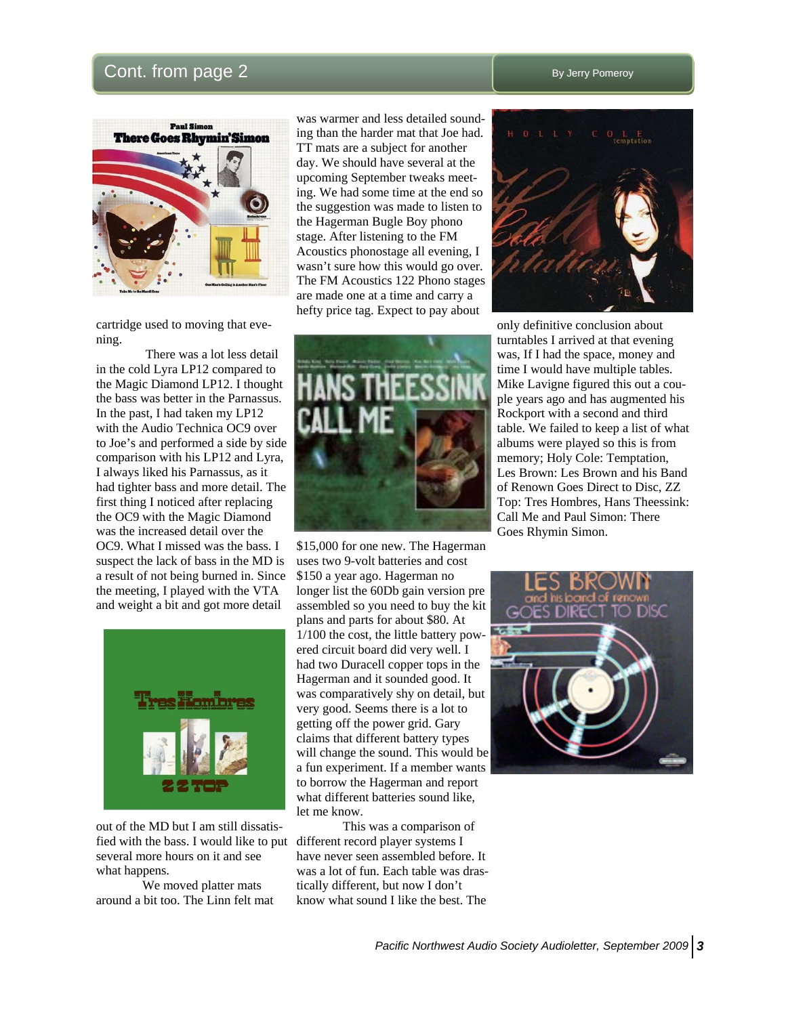# $Cont.$  from page  $2$   $By$  Jerry Pomeroy



cartridge used to moving that evening.

 There was a lot less detail in the cold Lyra LP12 compared to the Magic Diamond LP12. I thought the bass was better in the Parnassus. In the past, I had taken my LP12 with the Audio Technica OC9 over to Joe's and performed a side by side comparison with his LP12 and Lyra, I always liked his Parnassus, as it had tighter bass and more detail. The first thing I noticed after replacing the OC9 with the Magic Diamond was the increased detail over the OC9. What I missed was the bass. I suspect the lack of bass in the MD is a result of not being burned in. Since the meeting, I played with the VTA and weight a bit and got more detail



out of the MD but I am still dissatisfied with the bass. I would like to put different record player systems I several more hours on it and see what happens.

 We moved platter mats around a bit too. The Linn felt mat was warmer and less detailed sounding than the harder mat that Joe had. TT mats are a subject for another day. We should have several at the upcoming September tweaks meeting. We had some time at the end so the suggestion was made to listen to the Hagerman Bugle Boy phono stage. After listening to the FM Acoustics phonostage all evening, I wasn't sure how this would go over. The FM Acoustics 122 Phono stages are made one at a time and carry a hefty price tag. Expect to pay about



\$15,000 for one new. The Hagerman uses two 9-volt batteries and cost \$150 a year ago. Hagerman no longer list the 60Db gain version pre assembled so you need to buy the kit plans and parts for about \$80. At 1/100 the cost, the little battery powered circuit board did very well. I had two Duracell copper tops in the Hagerman and it sounded good. It was comparatively shy on detail, but very good. Seems there is a lot to getting off the power grid. Gary claims that different battery types will change the sound. This would be a fun experiment. If a member wants to borrow the Hagerman and report what different batteries sound like, let me know.

 This was a comparison of have never seen assembled before. It was a lot of fun. Each table was drastically different, but now I don't know what sound I like the best. The



only definitive conclusion about turntables I arrived at that evening was, If I had the space, money and time I would have multiple tables. Mike Lavigne figured this out a couple years ago and has augmented his Rockport with a second and third table. We failed to keep a list of what albums were played so this is from memory; Holy Cole: Temptation, Les Brown: Les Brown and his Band of Renown Goes Direct to Disc, ZZ Top: Tres Hombres, Hans Theessink: Call Me and Paul Simon: There Goes Rhymin Simon.

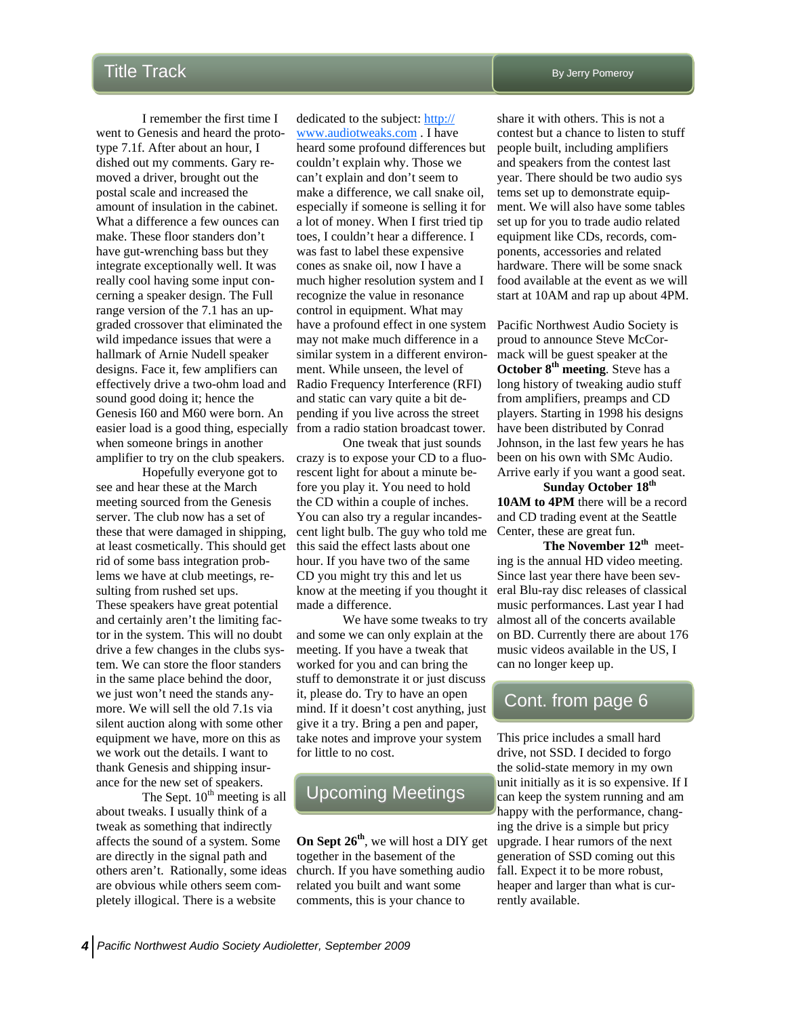I remember the first time I went to Genesis and heard the prototype 7.1f. After about an hour, I dished out my comments. Gary removed a driver, brought out the postal scale and increased the amount of insulation in the cabinet. What a difference a few ounces can make. These floor standers don't have gut-wrenching bass but they integrate exceptionally well. It was really cool having some input concerning a speaker design. The Full range version of the 7.1 has an upgraded crossover that eliminated the wild impedance issues that were a hallmark of Arnie Nudell speaker designs. Face it, few amplifiers can effectively drive a two-ohm load and sound good doing it; hence the Genesis I60 and M60 were born. An when someone brings in another amplifier to try on the club speakers.

 Hopefully everyone got to see and hear these at the March meeting sourced from the Genesis server. The club now has a set of these that were damaged in shipping, at least cosmetically. This should get rid of some bass integration problems we have at club meetings, resulting from rushed set ups. These speakers have great potential and certainly aren't the limiting factor in the system. This will no doubt drive a few changes in the clubs system. We can store the floor standers in the same place behind the door, we just won't need the stands anymore. We will sell the old 7.1s via silent auction along with some other equipment we have, more on this as we work out the details. I want to thank Genesis and shipping insurance for the new set of speakers.

The Sept.  $10<sup>th</sup>$  meeting is all about tweaks. I usually think of a tweak as something that indirectly affects the sound of a system. Some are directly in the signal path and others aren't. Rationally, some ideas are obvious while others seem completely illogical. There is a website

easier load is a good thing, especially from a radio station broadcast tower. dedicated to the subject: [http://](http://www.audiotweaks.com/) [www.audiotweaks.com](http://www.audiotweaks.com/) . I have heard some profound differences but couldn't explain why. Those we can't explain and don't seem to make a difference, we call snake oil, especially if someone is selling it for a lot of money. When I first tried tip toes, I couldn't hear a difference. I was fast to label these expensive cones as snake oil, now I have a much higher resolution system and I recognize the value in resonance control in equipment. What may have a profound effect in one system may not make much difference in a similar system in a different environment. While unseen, the level of Radio Frequency Interference (RFI) and static can vary quite a bit depending if you live across the street

> One tweak that just sounds crazy is to expose your CD to a fluorescent light for about a minute before you play it. You need to hold the CD within a couple of inches. You can also try a regular incandescent light bulb. The guy who told me this said the effect lasts about one hour. If you have two of the same CD you might try this and let us made a difference.

> We have some tweaks to try and some we can only explain at the meeting. If you have a tweak that worked for you and can bring the stuff to demonstrate it or just discuss it, please do. Try to have an open mind. If it doesn't cost anything, just give it a try. Bring a pen and paper, take notes and improve your system for little to no cost.

# Upcoming Meetings

**On Sept 26th**, we will host a DIY get together in the basement of the church. If you have something audio related you built and want some comments, this is your chance to

share it with others. This is not a contest but a chance to listen to stuff people built, including amplifiers and speakers from the contest last year. There should be two audio sys tems set up to demonstrate equipment. We will also have some tables set up for you to trade audio related equipment like CDs, records, components, accessories and related hardware. There will be some snack food available at the event as we will start at 10AM and rap up about 4PM.

Pacific Northwest Audio Society is proud to announce Steve McCormack will be guest speaker at the **October 8th meeting**. Steve has a long history of tweaking audio stuff from amplifiers, preamps and CD players. Starting in 1998 his designs have been distributed by Conrad Johnson, in the last few years he has been on his own with SMc Audio. Arrive early if you want a good seat.

**Sunday October 18th 10AM to 4PM** there will be a record and CD trading event at the Seattle Center, these are great fun.

know at the meeting if you thought it eral Blu-ray disc releases of classical **The November 12th** meeting is the annual HD video meeting. Since last year there have been sevmusic performances. Last year I had almost all of the concerts available on BD. Currently there are about 176 music videos available in the US, I can no longer keep up.

# Cont. from page 6

This price includes a small hard drive, not SSD. I decided to forgo the solid-state memory in my own unit initially as it is so expensive. If I can keep the system running and am happy with the performance, changing the drive is a simple but pricy upgrade. I hear rumors of the next generation of SSD coming out this fall. Expect it to be more robust, heaper and larger than what is currently available.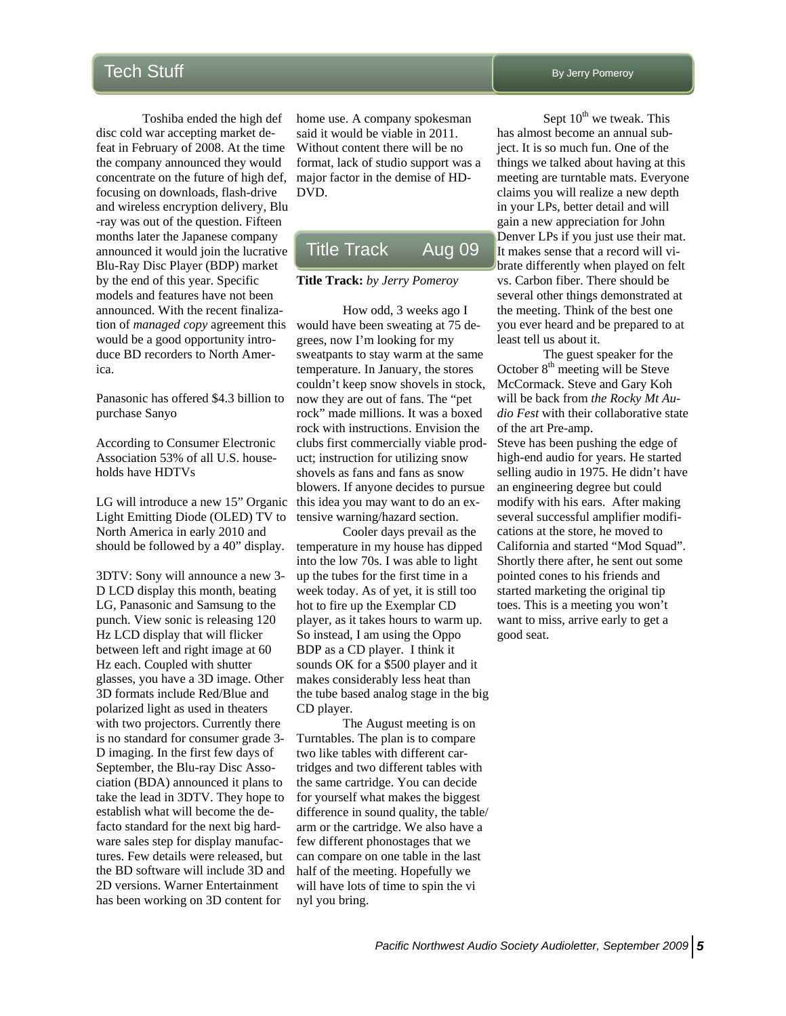Toshiba ended the high def disc cold war accepting market defeat in February of 2008. At the time the company announced they would concentrate on the future of high def, focusing on downloads, flash-drive and wireless encryption delivery, Blu -ray was out of the question. Fifteen months later the Japanese company announced it would join the lucrative Blu-Ray Disc Player (BDP) market by the end of this year. Specific models and features have not been announced. With the recent finalization of *managed copy* agreement this would be a good opportunity introduce BD recorders to North America.

Panasonic has offered \$4.3 billion to purchase Sanyo

According to Consumer Electronic Association 53% of all U.S. households have HDTVs

LG will introduce a new 15" Organic this idea you may want to do an ex-Light Emitting Diode (OLED) TV to North America in early 2010 and should be followed by a 40" display.

3DTV: Sony will announce a new 3- D LCD display this month, beating LG, Panasonic and Samsung to the punch. View sonic is releasing 120 Hz LCD display that will flicker between left and right image at 60 Hz each. Coupled with shutter glasses, you have a 3D image. Other 3D formats include Red/Blue and polarized light as used in theaters with two projectors. Currently there is no standard for consumer grade 3- D imaging. In the first few days of September, the Blu-ray Disc Association (BDA) announced it plans to take the lead in 3DTV. They hope to establish what will become the defacto standard for the next big hardware sales step for display manufactures. Few details were released, but the BD software will include 3D and 2D versions. Warner Entertainment has been working on 3D content for

home use. A company spokesman said it would be viable in 2011. Without content there will be no format, lack of studio support was a major factor in the demise of HD-DVD.

# Title Track Aug 09

#### **Title Track:** *by Jerry Pomeroy*

How odd, 3 weeks ago I would have been sweating at 75 degrees, now I'm looking for my sweatpants to stay warm at the same temperature. In January, the stores couldn't keep snow shovels in stock, now they are out of fans. The "pet rock" made millions. It was a boxed rock with instructions. Envision the clubs first commercially viable product; instruction for utilizing snow shovels as fans and fans as snow blowers. If anyone decides to pursue tensive warning/hazard section.

 Cooler days prevail as the temperature in my house has dipped into the low 70s. I was able to light up the tubes for the first time in a week today. As of yet, it is still too hot to fire up the Exemplar CD player, as it takes hours to warm up. So instead, I am using the Oppo BDP as a CD player. I think it sounds OK for a \$500 player and it makes considerably less heat than the tube based analog stage in the big CD player.

 The August meeting is on Turntables. The plan is to compare two like tables with different cartridges and two different tables with the same cartridge. You can decide for yourself what makes the biggest difference in sound quality, the table/ arm or the cartridge. We also have a few different phonostages that we can compare on one table in the last half of the meeting. Hopefully we will have lots of time to spin the vi nyl you bring.

By Jerry Pomeroy

Sept  $10^{th}$  we tweak. This has almost become an annual subject. It is so much fun. One of the things we talked about having at this meeting are turntable mats. Everyone claims you will realize a new depth in your LPs, better detail and will gain a new appreciation for John Denver LPs if you just use their mat. It makes sense that a record will vibrate differently when played on felt vs. Carbon fiber. There should be several other things demonstrated at the meeting. Think of the best one you ever heard and be prepared to at least tell us about it.

 The guest speaker for the October  $8<sup>th</sup>$  meeting will be Steve McCormack. Steve and Gary Koh will be back from *the Rocky Mt Audio Fest* with their collaborative state of the art Pre-amp.

Steve has been pushing the edge of high-end audio for years. He started selling audio in 1975. He didn't have an engineering degree but could modify with his ears. After making several successful amplifier modifications at the store, he moved to California and started "Mod Squad". Shortly there after, he sent out some pointed cones to his friends and started marketing the original tip toes. This is a meeting you won't want to miss, arrive early to get a good seat.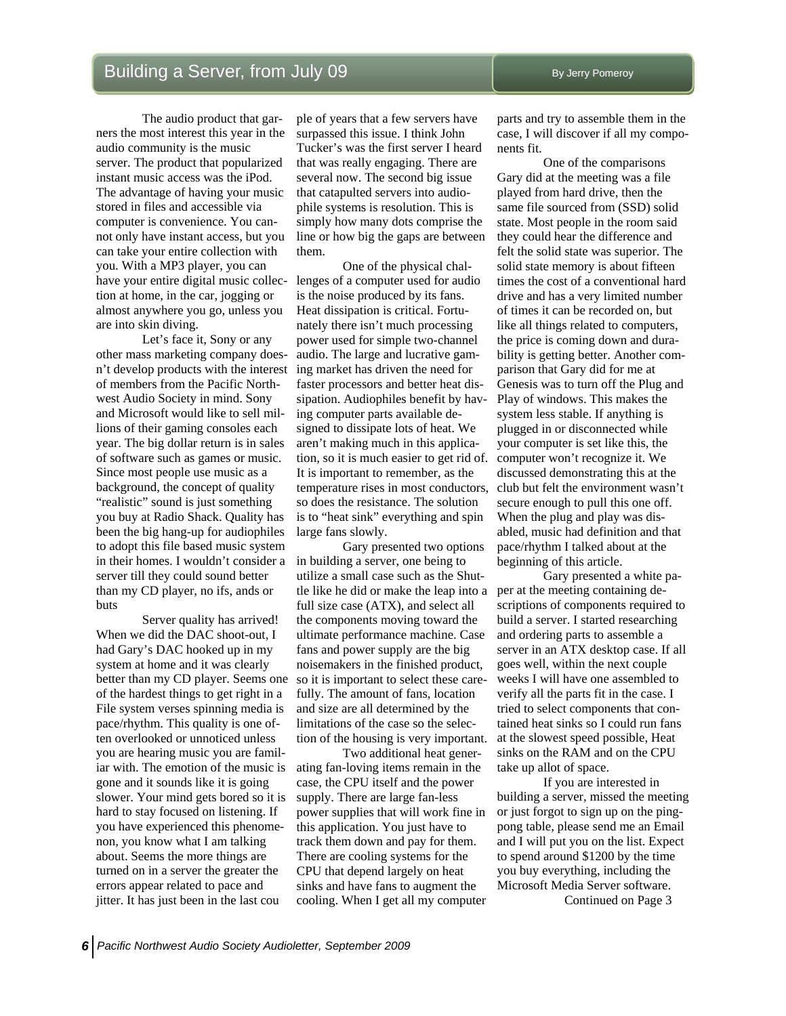The audio product that garners the most interest this year in the audio community is the music server. The product that popularized instant music access was the iPod. The advantage of having your music stored in files and accessible via computer is convenience. You cannot only have instant access, but you can take your entire collection with you. With a MP3 player, you can have your entire digital music collection at home, in the car, jogging or almost anywhere you go, unless you are into skin diving.

 Let's face it, Sony or any other mass marketing company doesn't develop products with the interest of members from the Pacific Northwest Audio Society in mind. Sony and Microsoft would like to sell millions of their gaming consoles each year. The big dollar return is in sales of software such as games or music. Since most people use music as a background, the concept of quality "realistic" sound is just something you buy at Radio Shack. Quality has been the big hang-up for audiophiles to adopt this file based music system in their homes. I wouldn't consider a server till they could sound better than my CD player, no ifs, ands or buts

 Server quality has arrived! When we did the DAC shoot-out, I had Gary's DAC hooked up in my system at home and it was clearly better than my CD player. Seems one of the hardest things to get right in a File system verses spinning media is pace/rhythm. This quality is one often overlooked or unnoticed unless you are hearing music you are familiar with. The emotion of the music is gone and it sounds like it is going slower. Your mind gets bored so it is hard to stay focused on listening. If you have experienced this phenomenon, you know what I am talking about. Seems the more things are turned on in a server the greater the errors appear related to pace and jitter. It has just been in the last cou

ple of years that a few servers have surpassed this issue. I think John Tucker's was the first server I heard that was really engaging. There are several now. The second big issue that catapulted servers into audiophile systems is resolution. This is simply how many dots comprise the line or how big the gaps are between them.

 One of the physical challenges of a computer used for audio is the noise produced by its fans. Heat dissipation is critical. Fortunately there isn't much processing power used for simple two-channel audio. The large and lucrative gaming market has driven the need for faster processors and better heat dissipation. Audiophiles benefit by having computer parts available designed to dissipate lots of heat. We aren't making much in this application, so it is much easier to get rid of. It is important to remember, as the temperature rises in most conductors, so does the resistance. The solution is to "heat sink" everything and spin large fans slowly.

 Gary presented two options in building a server, one being to utilize a small case such as the Shuttle like he did or make the leap into a full size case (ATX), and select all the components moving toward the ultimate performance machine. Case fans and power supply are the big noisemakers in the finished product, so it is important to select these carefully. The amount of fans, location and size are all determined by the limitations of the case so the selection of the housing is very important.

 Two additional heat generating fan-loving items remain in the case, the CPU itself and the power supply. There are large fan-less power supplies that will work fine in this application. You just have to track them down and pay for them. There are cooling systems for the CPU that depend largely on heat sinks and have fans to augment the cooling. When I get all my computer

parts and try to assemble them in the case, I will discover if all my components fit.

 One of the comparisons Gary did at the meeting was a file played from hard drive, then the same file sourced from (SSD) solid state. Most people in the room said they could hear the difference and felt the solid state was superior. The solid state memory is about fifteen times the cost of a conventional hard drive and has a very limited number of times it can be recorded on, but like all things related to computers, the price is coming down and durability is getting better. Another comparison that Gary did for me at Genesis was to turn off the Plug and Play of windows. This makes the system less stable. If anything is plugged in or disconnected while your computer is set like this, the computer won't recognize it. We discussed demonstrating this at the club but felt the environment wasn't secure enough to pull this one off. When the plug and play was disabled, music had definition and that pace/rhythm I talked about at the beginning of this article.

Gary presented a white paper at the meeting containing descriptions of components required to build a server. I started researching and ordering parts to assemble a server in an ATX desktop case. If all goes well, within the next couple weeks I will have one assembled to verify all the parts fit in the case. I tried to select components that contained heat sinks so I could run fans at the slowest speed possible, Heat sinks on the RAM and on the CPU take up allot of space.

 If you are interested in building a server, missed the meeting or just forgot to sign up on the pingpong table, please send me an Email and I will put you on the list. Expect to spend around \$1200 by the time you buy everything, including the Microsoft Media Server software.

Continued on Page 3